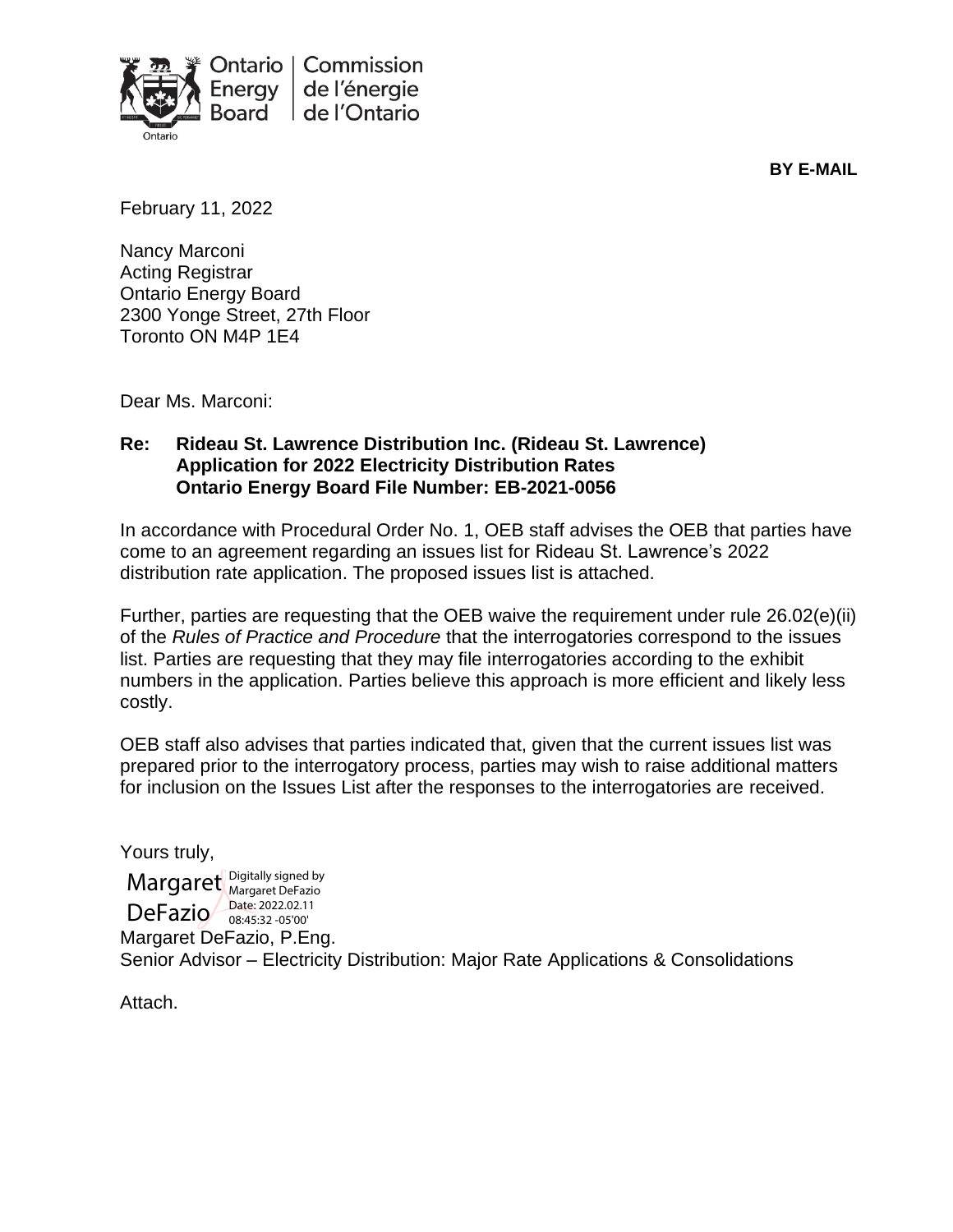

**BY E-MAIL**

February 11, 2022

Nancy Marconi Acting Registrar Ontario Energy Board 2300 Yonge Street, 27th Floor Toronto ON M4P 1E4

Dear Ms. Marconi:

#### **Re: Rideau St. Lawrence Distribution Inc. (Rideau St. Lawrence) Application for 2022 Electricity Distribution Rates Ontario Energy Board File Number: EB-2021-0056**

In accordance with Procedural Order No. 1, OEB staff advises the OEB that parties have come to an agreement regarding an issues list for Rideau St. Lawrence's 2022 distribution rate application. The proposed issues list is attached.

Further, parties are requesting that the OEB waive the requirement under rule 26.02(e)(ii) of the *Rules of Practice and Procedure* that the interrogatories correspond to the issues list. Parties are requesting that they may file interrogatories according to the exhibit numbers in the application. Parties believe this approach is more efficient and likely less costly.

OEB staff also advises that parties indicated that, given that the current issues list was prepared prior to the interrogatory process, parties may wish to raise additional matters for inclusion on the Issues List after the responses to the interrogatories are received.

Yours truly, Margaret DeFazio, P.Eng. Senior Advisor – Electricity Distribution: Major Rate Applications & Consolidations Margaret Digitally signed by  $\textsf{Def}$ azio  $\frac{\textsf{Date: } 2022.02.11}{08.45:32-05'00'}$ Margaret DeFazio 08:45:32 -05'00'

Attach.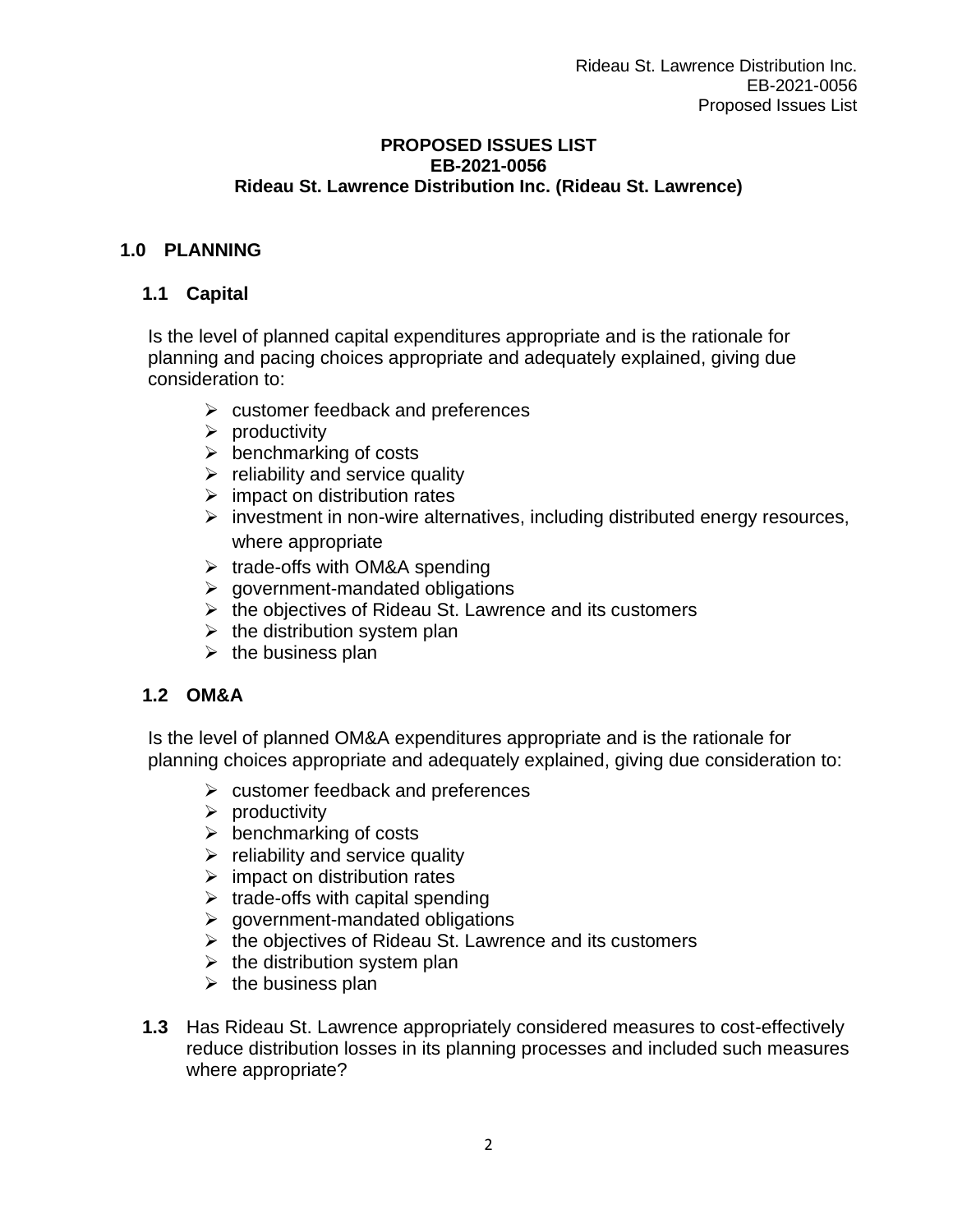#### **PROPOSED ISSUES LIST EB-2021-0056 Rideau St. Lawrence Distribution Inc. (Rideau St. Lawrence)**

# **1.0 PLANNING**

#### **1.1 Capital**

Is the level of planned capital expenditures appropriate and is the rationale for planning and pacing choices appropriate and adequately explained, giving due consideration to:

- $\triangleright$  customer feedback and preferences
- $\triangleright$  productivity
- $\triangleright$  benchmarking of costs
- $\triangleright$  reliability and service quality
- $\triangleright$  impact on distribution rates
- ➢ investment in non-wire alternatives, including distributed energy resources, where appropriate
- ➢ trade-offs with OM&A spending
- $\triangleright$  government-mandated obligations
- $\triangleright$  the objectives of Rideau St. Lawrence and its customers
- $\triangleright$  the distribution system plan
- $\triangleright$  the business plan

## **1.2 OM&A**

Is the level of planned OM&A expenditures appropriate and is the rationale for planning choices appropriate and adequately explained, giving due consideration to:

- $\triangleright$  customer feedback and preferences
- $\triangleright$  productivity
- $\triangleright$  benchmarking of costs
- $\triangleright$  reliability and service quality
- $\triangleright$  impact on distribution rates
- $\triangleright$  trade-offs with capital spending
- $\triangleright$  government-mandated obligations
- ➢ the objectives of Rideau St. Lawrence and its customers
- $\triangleright$  the distribution system plan
- $\triangleright$  the business plan
- **1.3** Has Rideau St. Lawrence appropriately considered measures to cost-effectively reduce distribution losses in its planning processes and included such measures where appropriate?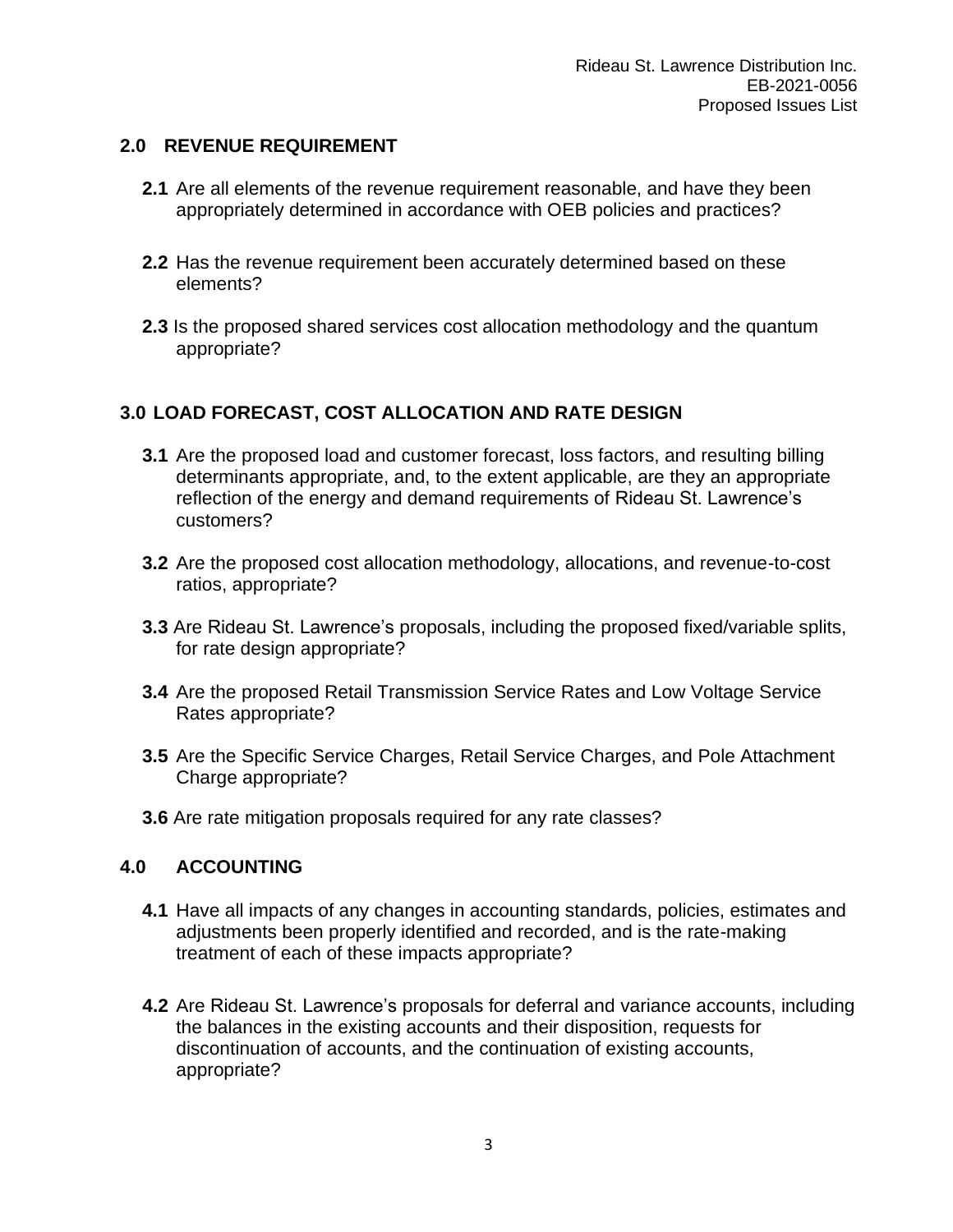## **2.0 REVENUE REQUIREMENT**

- **2.1** Are all elements of the revenue requirement reasonable, and have they been appropriately determined in accordance with OEB policies and practices?
- **2.2** Has the revenue requirement been accurately determined based on these elements?
- **2.3** Is the proposed shared services cost allocation methodology and the quantum appropriate?

# **3.0 LOAD FORECAST, COST ALLOCATION AND RATE DESIGN**

- **3.1** Are the proposed load and customer forecast, loss factors, and resulting billing determinants appropriate, and, to the extent applicable, are they an appropriate reflection of the energy and demand requirements of Rideau St. Lawrence's customers?
- **3.2** Are the proposed cost allocation methodology, allocations, and revenue-to-cost ratios, appropriate?
- **3.3** Are Rideau St. Lawrence's proposals, including the proposed fixed/variable splits, for rate design appropriate?
- **3.4** Are the proposed Retail Transmission Service Rates and Low Voltage Service Rates appropriate?
- **3.5** Are the Specific Service Charges, Retail Service Charges, and Pole Attachment Charge appropriate?
- **3.6** Are rate mitigation proposals required for any rate classes?

## **4.0 ACCOUNTING**

- **4.1** Have all impacts of any changes in accounting standards, policies, estimates and adjustments been properly identified and recorded, and is the rate-making treatment of each of these impacts appropriate?
- **4.2** Are Rideau St. Lawrence's proposals for deferral and variance accounts, including the balances in the existing accounts and their disposition, requests for discontinuation of accounts, and the continuation of existing accounts, appropriate?